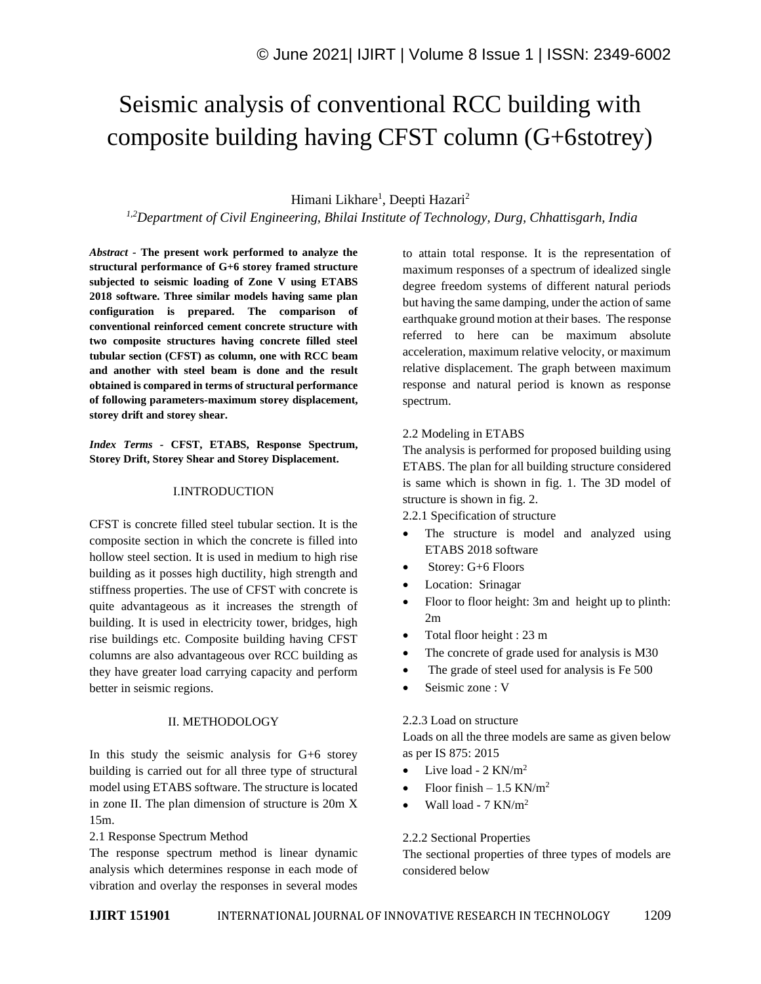# Seismic analysis of conventional RCC building with composite building having CFST column (G+6stotrey)

# Himani Likhare<sup>1</sup>, Deepti Hazari<sup>2</sup>

*1,2Department of Civil Engineering, Bhilai Institute of Technology, Durg, Chhattisgarh, India*

*Abstract -* **The present work performed to analyze the structural performance of G+6 storey framed structure subjected to seismic loading of Zone V using ETABS 2018 software. Three similar models having same plan configuration is prepared. The comparison of conventional reinforced cement concrete structure with two composite structures having concrete filled steel tubular section (CFST) as column, one with RCC beam and another with steel beam is done and the result obtained is compared in terms of structural performance of following parameters-maximum storey displacement, storey drift and storey shear.**

*Index Terms -* **CFST, ETABS, Response Spectrum, Storey Drift, Storey Shear and Storey Displacement.**

#### I.INTRODUCTION

CFST is concrete filled steel tubular section. It is the composite section in which the concrete is filled into hollow steel section. It is used in medium to high rise building as it posses high ductility, high strength and stiffness properties. The use of CFST with concrete is quite advantageous as it increases the strength of building. It is used in electricity tower, bridges, high rise buildings etc. Composite building having CFST columns are also advantageous over RCC building as they have greater load carrying capacity and perform better in seismic regions.

#### II. METHODOLOGY

In this study the seismic analysis for G+6 storey building is carried out for all three type of structural model using ETABS software. The structure is located in zone II. The plan dimension of structure is 20m X 15m.

### 2.1 Response Spectrum Method

The response spectrum method is linear dynamic analysis which determines response in each mode of vibration and overlay the responses in several modes

to attain total response. It is the representation of maximum responses of a spectrum of idealized single degree freedom systems of different natural periods but having the same damping, under the action of same earthquake ground motion at their bases. The response referred to here can be maximum absolute acceleration, maximum relative velocity, or maximum relative displacement. The graph between maximum response and natural period is known as response spectrum.

### 2.2 Modeling in ETABS

The analysis is performed for proposed building using ETABS. The plan for all building structure considered is same which is shown in fig. 1. The 3D model of structure is shown in fig. 2.

2.2.1 Specification of structure

- The structure is model and analyzed using ETABS 2018 software
- Storey: G+6 Floors
- Location: Srinagar
- Floor to floor height: 3m and height up to plinth: 2m
- Total floor height : 23 m
- The concrete of grade used for analysis is M30
- The grade of steel used for analysis is Fe 500
- Seismic zone : V

### 2.2.3 Load on structure

Loads on all the three models are same as given below as per IS 875: 2015

- Live load  $2$  KN/m<sup>2</sup>
- Floor finish  $1.5$  KN/m<sup>2</sup>
- Wall load  $7 \text{ KN/m}^2$

### 2.2.2 Sectional Properties

The sectional properties of three types of models are considered below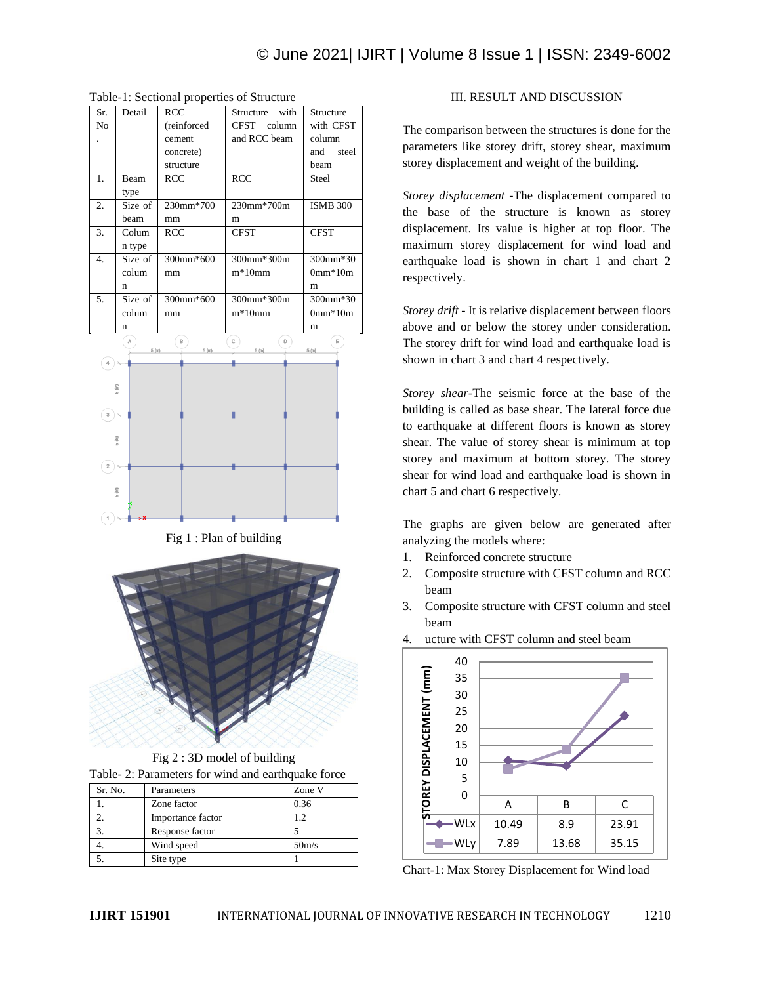| Sr.                           | Detail  | RCC         | with<br>Structure | Structure       |
|-------------------------------|---------|-------------|-------------------|-----------------|
| No                            |         | (reinforced | CFST column       | with CFST       |
|                               |         | cement      | and RCC beam      | column          |
|                               |         | concrete)   |                   | and steel       |
|                               |         | structure   |                   | beam            |
| 1.                            | Beam    | RCC         | <b>RCC</b>        | Steel           |
|                               | type    |             |                   |                 |
| 2.                            | Size of | 230mm*700   | 230mm*700m        | <b>ISMB 300</b> |
|                               | beam    | mm          | m                 |                 |
| 3.                            | Colum   | <b>RCC</b>  | <b>CFST</b>       | <b>CFST</b>     |
|                               | n type  |             |                   |                 |
| 4.                            | Size of | 300mm*600   | 300mm*300m        | 300mm*30        |
|                               | colum   | mm          | $m*10mm$          | $0mm*10m$       |
|                               | n       |             |                   | m               |
| 5.                            | Size of | 300mm*600   | 300mm*300m        | 300mm*30        |
|                               | colum   | mm          | $m*10mm$          | $0mm*10m$       |
|                               |         |             |                   | m               |
|                               | n       |             |                   |                 |
|                               | Α       | В           | C<br>D            | E               |
|                               | 5 (m)   | 5(m)        | 5 (m)             | 5(m)            |
| $\ensuremath{\mathnormal{4}}$ |         |             |                   |                 |
|                               |         |             |                   |                 |
|                               |         |             |                   |                 |
|                               |         |             |                   |                 |
| $^{\circ}$                    |         |             |                   |                 |
|                               |         |             |                   |                 |
|                               | 5(m)    |             |                   |                 |
|                               |         |             |                   |                 |
| $\mathbf{2}$                  |         |             |                   |                 |
|                               |         |             |                   |                 |
|                               | 5(m)    |             |                   |                 |
|                               |         |             |                   |                 |
|                               |         |             |                   |                 |

Table-1: Sectional properties of Structure

#### Fig 1 : Plan of building



Fig 2 : 3D model of building Table- 2: Parameters for wind and earthquake force

| Sr. No. | Parameters        | Zone V             |
|---------|-------------------|--------------------|
|         | Zone factor       | 0.36               |
|         | Importance factor | 19                 |
|         | Response factor   |                    |
|         | Wind speed        | 50 <sub>m</sub> /s |
|         | Site type         |                    |

## III. RESULT AND DISCUSSION

The comparison between the structures is done for the parameters like storey drift, storey shear, maximum storey displacement and weight of the building.

*Storey displacement* -The displacement compared to the base of the structure is known as storey displacement. Its value is higher at top floor. The maximum storey displacement for wind load and earthquake load is shown in chart 1 and chart 2 respectively.

*Storey drift* - It is relative displacement between floors above and or below the storey under consideration. The storey drift for wind load and earthquake load is shown in chart 3 and chart 4 respectively.

*Storey shear*-The seismic force at the base of the building is called as base shear. The lateral force due to earthquake at different floors is known as storey shear. The value of storey shear is minimum at top storey and maximum at bottom storey. The storey shear for wind load and earthquake load is shown in chart 5 and chart 6 respectively.

The graphs are given below are generated after analyzing the models where:

- 1. Reinforced concrete structure
- 2. Composite structure with CFST column and RCC beam
- 3. Composite structure with CFST column and steel beam



4. ucture with CFST column and steel beam

Chart-1: Max Storey Displacement for Wind load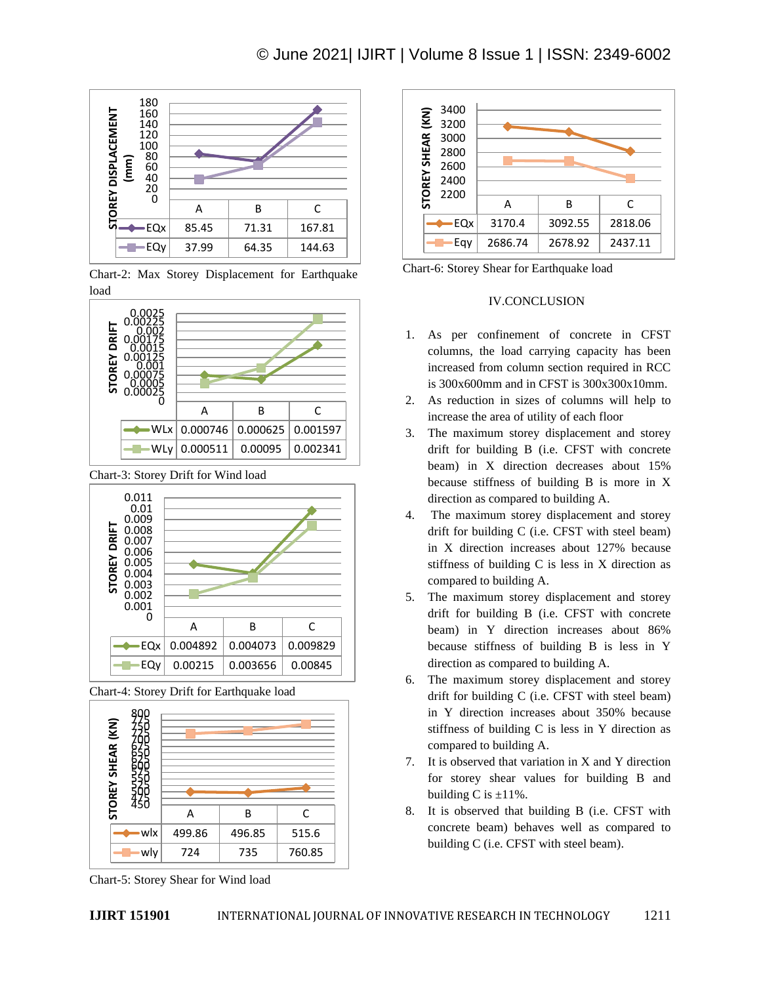

Chart-2: Max Storey Displacement for Earthquake load



Chart-3: Storey Drift for Wind load



Chart-4: Storey Drift for Earthquake load



Chart-5: Storey Shear for Wind load



Chart-6: Storey Shear for Earthquake load

# IV.CONCLUSION

- 1. As per confinement of concrete in CFST columns, the load carrying capacity has been increased from column section required in RCC is 300x600mm and in CFST is 300x300x10mm.
- 2. As reduction in sizes of columns will help to increase the area of utility of each floor
- 3. The maximum storey displacement and storey drift for building B (i.e. CFST with concrete beam) in X direction decreases about 15% because stiffness of building B is more in X direction as compared to building A.
- 4. The maximum storey displacement and storey drift for building C (i.e. CFST with steel beam) in X direction increases about 127% because stiffness of building C is less in X direction as compared to building A.
- 5. The maximum storey displacement and storey drift for building B (i.e. CFST with concrete beam) in Y direction increases about 86% because stiffness of building B is less in Y direction as compared to building A.
- 6. The maximum storey displacement and storey drift for building C (i.e. CFST with steel beam) in Y direction increases about 350% because stiffness of building C is less in Y direction as compared to building A.
- 7. It is observed that variation in X and Y direction for storey shear values for building B and building C is  $\pm 11\%$ .
- 8. It is observed that building B (i.e. CFST with concrete beam) behaves well as compared to building C (i.e. CFST with steel beam).